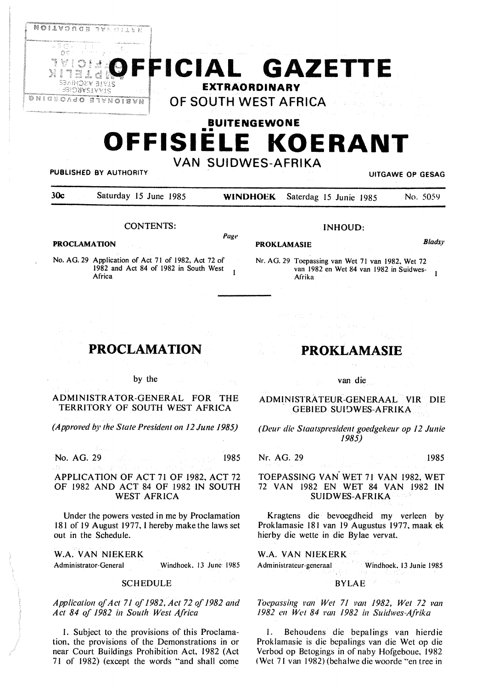

FFICIAL GAZETTE **EXTRAORDINARY OF SOUTH WEST AFRICA** 

# **BUITENGEWONE**  •• **OFFISIELE KOERANT VAN SUIDWES-AFRIKA**

### **PUBLISHED BY** AUTHORITY **UITGAWE OP GESAG**

| 30c | Saturday 15 June 1985 |  | <b>WINDHOEK</b> Saterdag 15 Junie 1985 |  | No. 5059 |
|-----|-----------------------|--|----------------------------------------|--|----------|
|     |                       |  |                                        |  |          |

*Page* 

#### CONTENTS:

#### **PROCLAMATION**

No. AG. 29 Application of Act 71 of 1982, Act 72 of 1982 and Act 84 of 1982 in South West 1<br>Africa

|  |  |  | INHOUD: |
|--|--|--|---------|
|--|--|--|---------|

## **PROKLAMASIE** *Bladsy*

Nr. AG. 29 Toepassing van Wet 71 van 1982, Wet 72 van 1982 en Wet 84 van 1982 in Suidwes- $\overline{1}$ Afrika

## **PROCLAMATION**

#### by the

ADMINISTRATOR-GENERAL FOR THE TERRITORY OF SOUTH WEST AFRICA

*(Approved by the State President on 12 June 1985)* 

No. AG. 29 1985

APPLICATION OF ACT 71 OF 1982, ACT 72 OF 1982 AND ACT 84 OF 1982 IN SOUTH WEST AFRICA

Under the powers vested in me by Proclamation 181 of 19 August 1977. I hereby make the laws set out in the Schedule.

**W.A. VAN NIEKERK**  Administrator-General Windhoek. 13 June 1985

#### **SCHEDULE**

*Application of Ac! 71 of 1982, Act 72 of 1982 and Act 84 of 1982 in South West Africa* 

I. Subject to the provisions of this Proclamation. the provisions of the Demonstrations in or near Court Buildings Prohibition Act, 1982 (Act 71 of 1982) (except the words "and shall come

## **PROKLAMASIE**

## van die

ADMINISTRATEUR-GENERAAL VIR DIE **GEBIED SUIDWES-AFRIKA** 

*(Deur die Staalspresidenl goedgekeur op 12 Junie 1985)* 

Nr. AG. 29 1985

#### **TOEPASSING VAN** WET 71 VAN 1982, WET 72 VAN 1982 **EN WET** 84 VAN 1982 IN **SUIDWES-AFRIKA**

Kragtens die bevoegdheid my verleen by Proklamasie 181 van 19 Augustus 1977. maak ek hierby die wette in die Bylae vervat.

**W.A. VAN NIEKERK**  Administrateur-generaal Windhoek. 13 Junie 1985

#### **BYLAE**  7 A

*Toepassing Pan Wet 71 van 1982, Wet 72 van 1982 en Wet 84 Pan 1982 in Suidwes-Afrika* 

I. Behoudens die bepalings van hierdie Proklamasie is die bepalings van die Wet op die Verbod op Betogings in of naby Hofgeboue. 1982 ( Wet 71 van 1982) (behalwe die woorde "en tree in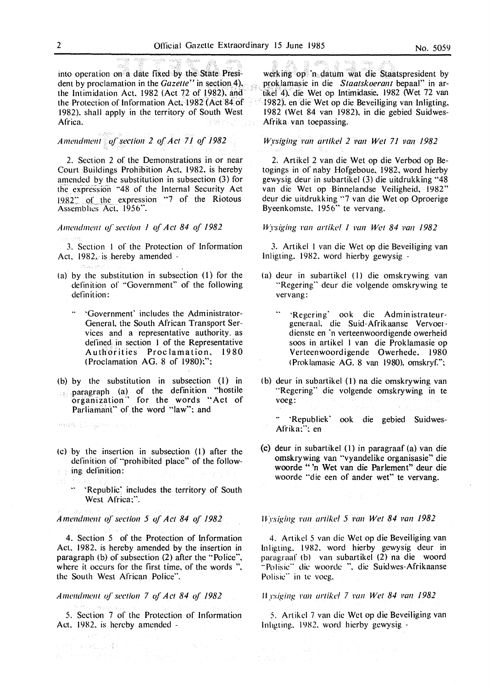into operation on a date fixed by the State President by proclamation in the *Gazette''* in section 4), the Intimidation Act, 1982 (Act 72 of 1982), and the Protection of Information Act, 1982 (Act 84 of 1982). shall apply in the territory of South West Africa.

the fight was well as a sen

*Ame11dme11t of section 2 of Act 71 of 1982* 

2. Section 2 of the Demonstrations in or near Court Buildings Prohibition Act. 1982. is hereby amended by the substitution in subsection (3) for the expression "48 of the Internal Security Act 1982" of the expression "7 of the Riotous Assemblies Act. 1956".

*A111e11d111e11t of section 1 of Act 84 of 1982* 

3. Section 1 of the Protection of Information Act.  $1982$ , is hereby amended -

- (a) by the substitution in subsection  $(1)$  for the definition of "Government" of the following definition:
	- ·· ·Governmenf includes the Administrator-General. the South African Transport Services and a representative authority. as defined in section 1 of the Representative Authorities Proclamation, 1980 (Proclamation AG. 8 of 1980):":
- (b) by the substitution in subsection (I) in paragraph (a) of the defmition "hostile organization<sup>\*</sup> for the words "Act of Parliamant" of the word "law"; and

Anak El agenciones

ธนโลย

(c) by the insertion in subsection (l) after the definition of "prohibited place" of the follow- $\cdots$  ing definition:

184

14 J P

·· ·Republic' includes the territory of South West Africa:".

*Amendment of section 5 of Act 84 of 1982* 

4. Section 5 of the Protection of Information Act. 1982. is hereby amended by the insertion in paragraph (b) of subsection (2) after the "Police". where it occurs for the first time, of the words ". the South West African Police".

#### *Amem/111£'.lll of section* 7 *of Act 84 of 1982*

5. Section 7 of the Protection of Information Act. 1982, is hereby amended -

werking op 'n datum wat die Staatspresident by proklamasie in die Staatskoerant bepaal" in artikel 4). die Wet op Intimidasie. 1982 (Wet 72 van 1982). en die Wet op die Beveiliging van lnligting. 1982 (Wet 84 van 1982). in die gebied Suidwes-Afrika van toepassing.

A SAN A TA PAY A

#### *Wysiging van artikel 2 van Wet 71 van 1982*

2. Artikel 2 van die Wet op die Verbod op Betogings in of naby Hofgeboue, 1982, word hierby gewysig deur in subartikel (3) die uitdrukking "48 van die Wet op Binnelandse Veiligheid, 1982" deur die uitdrukking "7 van die Wet op Oproerige Byeenkomste. 1956" te vervang.

#### *it)·sigi11g* pa,1 *artikel 1 l'all Wet 84 Pan 1982*

3. Artikel I van die Wet op die Beveiliging van lnligting. 1982. word hierby gewysig -

- (a) deur in subartikel ( 1) die omskrywing van "Regering" deur die volgende omskrywing te vervang:
	- ·· ·Regering' ook die Administrateurgeneraal. die Suid-Afrikaanse Vervoerdienste en 'n verteenwoordigende owerheid soos in artikel I van die Proklamasie op Verteenwoordigende Owerhede. 1980 ( Prok lamasie **AG.** 8 van 1980). omskryf.":
- ( b) deur in subartikel (I) na die omskrywing van "Regering" die volgende omskrywing in te voeg:
	- 'Republiek' ook die gebied Suidwes-Afrika:": en
- (c) deur in subartikel (I) in paragraaf (a) van die omskrywing van "vyandelike organisasie" die woorde "'n Wet van die Parlement" deur die woorde "die een of ander wet" te vervang.

*Wysiging van artikel 5 van Wet 84 van 1982* 

4. Artikcl 5 van die Wet op die Beveiliging van In ligting. 1982. word hierby gewysig deur in paragraaf (b) van subartikel (2) na die woord "Polisie" die woorde ", die Suidwes-Afrikaanse Polisic" in te voeg.

#### IJ *ysiging* rn11 *artikd* 7 1'a11 *Wet 84 Pan 1982*

*5.* Artikcl 7 van die Wet op die Beveiliging van lnltgting. 1982. word hierby gcwysig -

and a Roll Horney